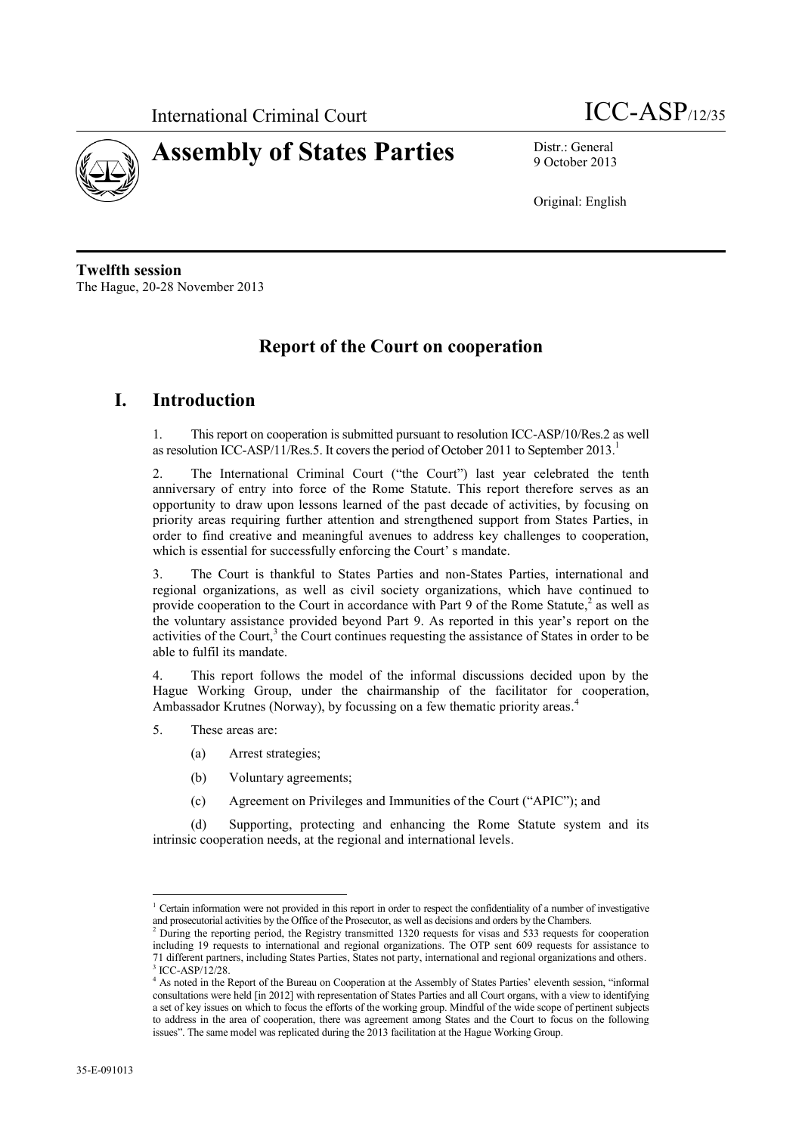



9 October 2013

Original: English

**Twelfth session** The Hague, 20-28 November 2013

## **Report of the Court on cooperation**

## **I. Introduction**

1. This report on cooperation is submitted pursuant to resolution ICC-ASP/10/Res.2 as well as resolution ICC-ASP/11/Res.5. It covers the period of October 2011 to September 2013.<sup>1</sup>

2. The International Criminal Court ("the Court") last year celebrated the tenth anniversary of entry into force of the Rome Statute. This report therefore serves as an opportunity to draw upon lessons learned of the past decade of activities, by focusing on priority areas requiring further attention and strengthened support from States Parties, in order to find creative and meaningful avenues to address key challenges to cooperation, which is essential for successfully enforcing the Court' s mandate.

3. The Court is thankful to States Parties and non-States Parties, international and regional organizations, as well as civil society organizations, which have continued to provide cooperation to the Court in accordance with Part 9 of the Rome Statute,<sup>2</sup> as well as the voluntary assistance provided beyond Part 9. As reported in this year's report on the activities of the Court,<sup>3</sup> the Court continues requesting the assistance of States in order to be able to fulfil its mandate.

4. This report follows the model of the informal discussions decided upon by the Hague Working Group, under the chairmanship of the facilitator for cooperation, Ambassador Krutnes (Norway), by focussing on a few thematic priority areas. 4

- 5. These areas are:
	- (a) Arrest strategies;
	- (b) Voluntary agreements;
	- (c) Agreement on Privileges and Immunities of the Court ("APIC"); and

(d) Supporting, protecting and enhancing the Rome Statute system and its intrinsic cooperation needs, at the regional and international levels.

<sup>&</sup>lt;sup>1</sup> Certain information were not provided in this report in order to respect the confidentiality of a number of investigative and prosecutorial activities by the Office of the Prosecutor, as well as decisions and orders by the Chambers.

<sup>&</sup>lt;sup>2</sup> During the reporting period, the Registry transmitted 1320 requests for visas and 533 requests for cooperation including 19 requests to international and regional organizations. The OTP sent 609 requests for assistance to 71 different partners, including States Parties, States not party, international and regional organizations and others. 3 ICC-ASP/12/28.

<sup>4</sup> As noted in the Report of the Bureau on Cooperation at the Assembly of States Parties' eleventh session, "informal consultations were held [in 2012] with representation of States Parties and all Court organs, with a view to identifying a set of key issues on which to focus the efforts of the working group. Mindful of the wide scope of pertinent subjects to address in the area of cooperation, there was agreement among States and the Court to focus on the following issues". The same model was replicated during the 2013 facilitation at the Hague Working Group.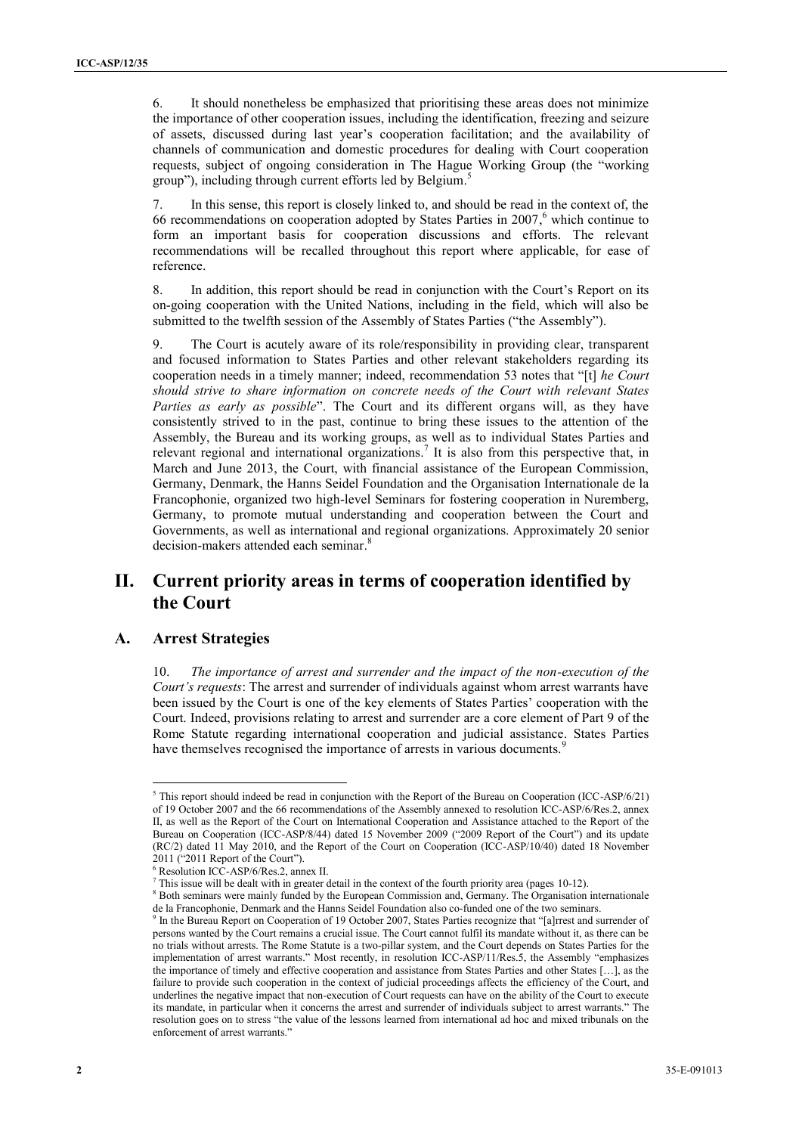6. It should nonetheless be emphasized that prioritising these areas does not minimize the importance of other cooperation issues, including the identification, freezing and seizure of assets, discussed during last year's cooperation facilitation; and the availability of channels of communication and domestic procedures for dealing with Court cooperation requests, subject of ongoing consideration in The Hague Working Group (the "working group"), including through current efforts led by Belgium. 5

7. In this sense, this report is closely linked to, and should be read in the context of, the 66 recommendations on cooperation adopted by States Parties in  $2007$ , which continue to form an important basis for cooperation discussions and efforts. The relevant recommendations will be recalled throughout this report where applicable, for ease of reference.

8. In addition, this report should be read in conjunction with the Court's Report on its on-going cooperation with the United Nations, including in the field, which will also be submitted to the twelfth session of the Assembly of States Parties ("the Assembly").

9. The Court is acutely aware of its role/responsibility in providing clear, transparent and focused information to States Parties and other relevant stakeholders regarding its cooperation needs in a timely manner; indeed, recommendation 53 notes that "[t] *he Court should strive to share information on concrete needs of the Court with relevant States Parties as early as possible*". The Court and its different organs will, as they have consistently strived to in the past, continue to bring these issues to the attention of the Assembly, the Bureau and its working groups, as well as to individual States Parties and relevant regional and international organizations.<sup>7</sup> It is also from this perspective that, in March and June 2013, the Court, with financial assistance of the European Commission, Germany, Denmark, the Hanns Seidel Foundation and the Organisation Internationale de la Francophonie, organized two high-level Seminars for fostering cooperation in Nuremberg, Germany, to promote mutual understanding and cooperation between the Court and Governments, as well as international and regional organizations. Approximately 20 senior decision-makers attended each seminar.<sup>8</sup>

# **II. Current priority areas in terms of cooperation identified by the Court**

#### **A. Arrest Strategies**

 $\overline{a}$ 

10. *The importance of arrest and surrender and the impact of the non-execution of the Court's requests*: The arrest and surrender of individuals against whom arrest warrants have been issued by the Court is one of the key elements of States Parties' cooperation with the Court. Indeed, provisions relating to arrest and surrender are a core element of Part 9 of the Rome Statute regarding international cooperation and judicial assistance. States Parties have themselves recognised the importance of arrests in various documents.<sup>9</sup>

<sup>&</sup>lt;sup>5</sup> This report should indeed be read in conjunction with the Report of the Bureau on Cooperation (ICC-ASP/6/21) of 19 October 2007 and the 66 recommendations of the Assembly annexed to resolution ICC-ASP/6/Res.2, annex II, as well as the Report of the Court on International Cooperation and Assistance attached to the Report of the Bureau on Cooperation (ICC-ASP/8/44) dated 15 November 2009 ("2009 Report of the Court") and its update (RC/2) dated 11 May 2010, and the Report of the Court on Cooperation (ICC-ASP/10/40) dated 18 November 2011 ("2011 Report of the Court").

<sup>6</sup> Resolution ICC-ASP/6/Res.2, annex II.

<sup>7</sup> This issue will be dealt with in greater detail in the context of the fourth priority area (pages 10-12).

<sup>&</sup>lt;sup>8</sup> Both seminars were mainly funded by the European Commission and, Germany. The Organisation internationale de la Francophonie, Denmark and the Hanns Seidel Foundation also co-funded one of the two seminars.

<sup>&</sup>lt;sup>9</sup> In the Bureau Report on Cooperation of 19 October 2007, States Parties recognize that "[a]rrest and surrender of persons wanted by the Court remains a crucial issue. The Court cannot fulfil its mandate without it, as there can be no trials without arrests. The Rome Statute is a two-pillar system, and the Court depends on States Parties for the implementation of arrest warrants." Most recently, in resolution ICC-ASP/11/Res.5, the Assembly "emphasizes the importance of timely and effective cooperation and assistance from States Parties and other States […], as the failure to provide such cooperation in the context of judicial proceedings affects the efficiency of the Court, and underlines the negative impact that non-execution of Court requests can have on the ability of the Court to execute its mandate, in particular when it concerns the arrest and surrender of individuals subject to arrest warrants." The resolution goes on to stress "the value of the lessons learned from international ad hoc and mixed tribunals on the enforcement of arrest warrants."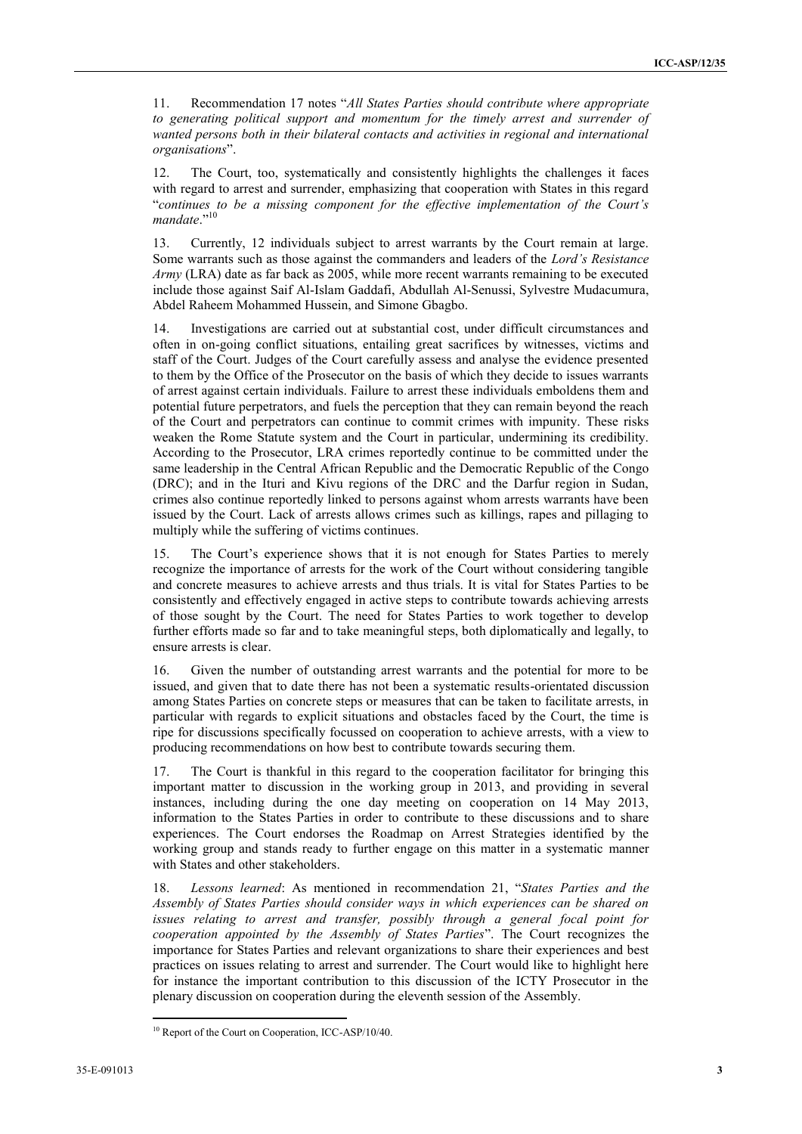11. Recommendation 17 notes "*All States Parties should contribute where appropriate to generating political support and momentum for the timely arrest and surrender of wanted persons both in their bilateral contacts and activities in regional and international organisations*".

12. The Court, too, systematically and consistently highlights the challenges it faces with regard to arrest and surrender, emphasizing that cooperation with States in this regard "*continues to be a missing component for the effective implementation of the Court's*  mandate."<sup>10</sup>

13. Currently, 12 individuals subject to arrest warrants by the Court remain at large. Some warrants such as those against the commanders and leaders of the *Lord's Resistance Army* (LRA) date as far back as 2005, while more recent warrants remaining to be executed include those against Saif Al-Islam Gaddafi, Abdullah Al-Senussi, Sylvestre Mudacumura, Abdel Raheem Mohammed Hussein, and Simone Gbagbo.

14. Investigations are carried out at substantial cost, under difficult circumstances and often in on-going conflict situations, entailing great sacrifices by witnesses, victims and staff of the Court. Judges of the Court carefully assess and analyse the evidence presented to them by the Office of the Prosecutor on the basis of which they decide to issues warrants of arrest against certain individuals. Failure to arrest these individuals emboldens them and potential future perpetrators, and fuels the perception that they can remain beyond the reach of the Court and perpetrators can continue to commit crimes with impunity. These risks weaken the Rome Statute system and the Court in particular, undermining its credibility. According to the Prosecutor, LRA crimes reportedly continue to be committed under the same leadership in the Central African Republic and the Democratic Republic of the Congo (DRC); and in the Ituri and Kivu regions of the DRC and the Darfur region in Sudan, crimes also continue reportedly linked to persons against whom arrests warrants have been issued by the Court. Lack of arrests allows crimes such as killings, rapes and pillaging to multiply while the suffering of victims continues.

15. The Court's experience shows that it is not enough for States Parties to merely recognize the importance of arrests for the work of the Court without considering tangible and concrete measures to achieve arrests and thus trials. It is vital for States Parties to be consistently and effectively engaged in active steps to contribute towards achieving arrests of those sought by the Court. The need for States Parties to work together to develop further efforts made so far and to take meaningful steps, both diplomatically and legally, to ensure arrests is clear.

16. Given the number of outstanding arrest warrants and the potential for more to be issued, and given that to date there has not been a systematic results-orientated discussion among States Parties on concrete steps or measures that can be taken to facilitate arrests, in particular with regards to explicit situations and obstacles faced by the Court, the time is ripe for discussions specifically focussed on cooperation to achieve arrests, with a view to producing recommendations on how best to contribute towards securing them.

The Court is thankful in this regard to the cooperation facilitator for bringing this important matter to discussion in the working group in 2013, and providing in several instances, including during the one day meeting on cooperation on 14 May 2013, information to the States Parties in order to contribute to these discussions and to share experiences. The Court endorses the Roadmap on Arrest Strategies identified by the working group and stands ready to further engage on this matter in a systematic manner with States and other stakeholders.

18. *Lessons learned*: As mentioned in recommendation 21, "*States Parties and the Assembly of States Parties should consider ways in which experiences can be shared on issues relating to arrest and transfer, possibly through a general focal point for cooperation appointed by the Assembly of States Parties*". The Court recognizes the importance for States Parties and relevant organizations to share their experiences and best practices on issues relating to arrest and surrender. The Court would like to highlight here for instance the important contribution to this discussion of the ICTY Prosecutor in the plenary discussion on cooperation during the eleventh session of the Assembly.

<sup>&</sup>lt;sup>10</sup> Report of the Court on Cooperation, ICC-ASP/10/40.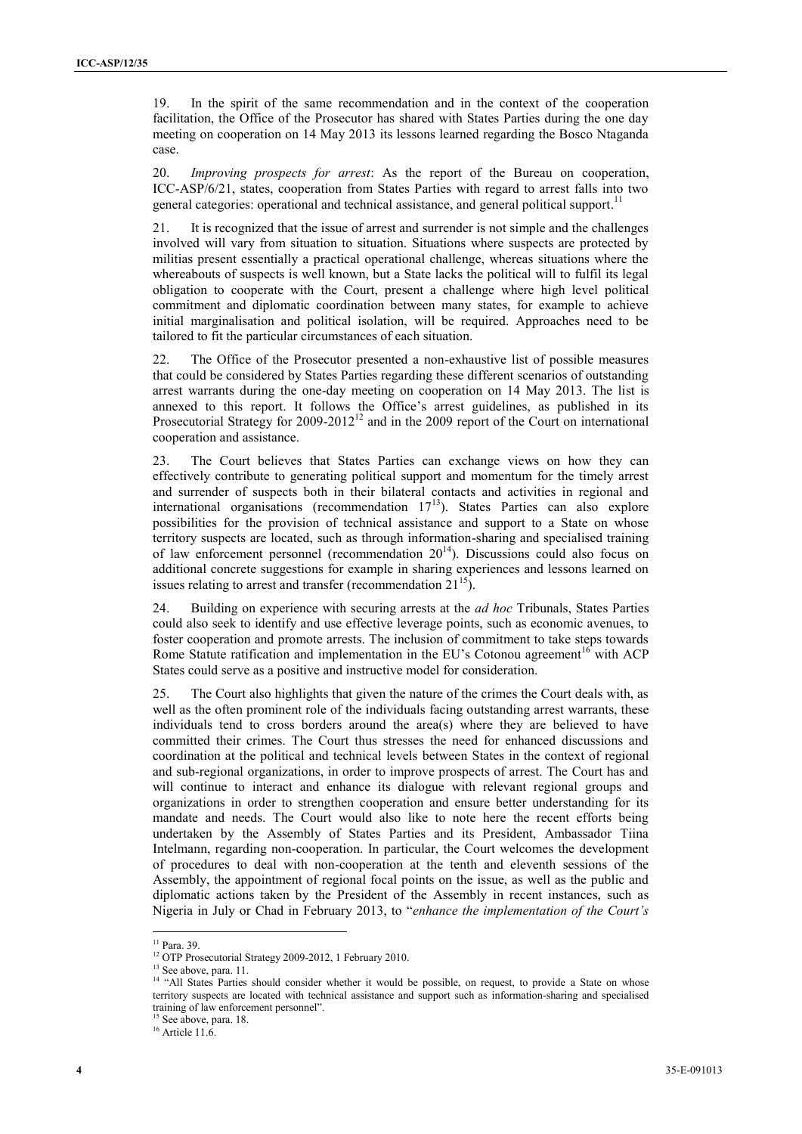19. In the spirit of the same recommendation and in the context of the cooperation facilitation, the Office of the Prosecutor has shared with States Parties during the one day meeting on cooperation on 14 May 2013 its lessons learned regarding the Bosco Ntaganda case.

20. *Improving prospects for arrest*: As the report of the Bureau on cooperation, ICC-ASP/6/21, states, cooperation from States Parties with regard to arrest falls into two general categories: operational and technical assistance, and general political support.<sup>11</sup>

21. It is recognized that the issue of arrest and surrender is not simple and the challenges involved will vary from situation to situation. Situations where suspects are protected by militias present essentially a practical operational challenge, whereas situations where the whereabouts of suspects is well known, but a State lacks the political will to fulfil its legal obligation to cooperate with the Court, present a challenge where high level political commitment and diplomatic coordination between many states, for example to achieve initial marginalisation and political isolation, will be required. Approaches need to be tailored to fit the particular circumstances of each situation.

22. The Office of the Prosecutor presented a non-exhaustive list of possible measures that could be considered by States Parties regarding these different scenarios of outstanding arrest warrants during the one-day meeting on cooperation on 14 May 2013. The list is annexed to this report. It follows the Office's arrest guidelines, as published in its Prosecutorial Strategy for  $2009-2012^{12}$  and in the 2009 report of the Court on international cooperation and assistance.

23. The Court believes that States Parties can exchange views on how they can effectively contribute to generating political support and momentum for the timely arrest and surrender of suspects both in their bilateral contacts and activities in regional and international organisations (recommendation  $17<sup>13</sup>$ ). States Parties can also explore possibilities for the provision of technical assistance and support to a State on whose territory suspects are located, such as through information-sharing and specialised training of law enforcement personnel (recommendation  $20^{14}$ ). Discussions could also focus on additional concrete suggestions for example in sharing experiences and lessons learned on issues relating to arrest and transfer (recommendation  $21^{15}$ ).

24. Building on experience with securing arrests at the *ad hoc* Tribunals, States Parties could also seek to identify and use effective leverage points, such as economic avenues, to foster cooperation and promote arrests. The inclusion of commitment to take steps towards Rome Statute ratification and implementation in the EU's Cotonou agreement<sup>16</sup> with ACP States could serve as a positive and instructive model for consideration.

25. The Court also highlights that given the nature of the crimes the Court deals with, as well as the often prominent role of the individuals facing outstanding arrest warrants, these individuals tend to cross borders around the area(s) where they are believed to have committed their crimes. The Court thus stresses the need for enhanced discussions and coordination at the political and technical levels between States in the context of regional and sub-regional organizations, in order to improve prospects of arrest. The Court has and will continue to interact and enhance its dialogue with relevant regional groups and organizations in order to strengthen cooperation and ensure better understanding for its mandate and needs. The Court would also like to note here the recent efforts being undertaken by the Assembly of States Parties and its President, Ambassador Tiina Intelmann, regarding non-cooperation. In particular, the Court welcomes the development of procedures to deal with non-cooperation at the tenth and eleventh sessions of the Assembly, the appointment of regional focal points on the issue, as well as the public and diplomatic actions taken by the President of the Assembly in recent instances, such as Nigeria in July or Chad in February 2013, to "*enhance the implementation of the Court's* 

 $\overline{a}$ 

<sup>13</sup> See above, para. 11.

<sup>&</sup>lt;sup>11</sup> Para. 39.

<sup>&</sup>lt;sup>12</sup> OTP Prosecutorial Strategy 2009-2012, 1 February 2010.

<sup>&</sup>lt;sup>14</sup> "All States Parties should consider whether it would be possible, on request, to provide a State on whose territory suspects are located with technical assistance and support such as information-sharing and specialised training of law enforcement personnel".

<sup>&</sup>lt;sup>15</sup> See above, para. 18.

 $16$  Article 11.6.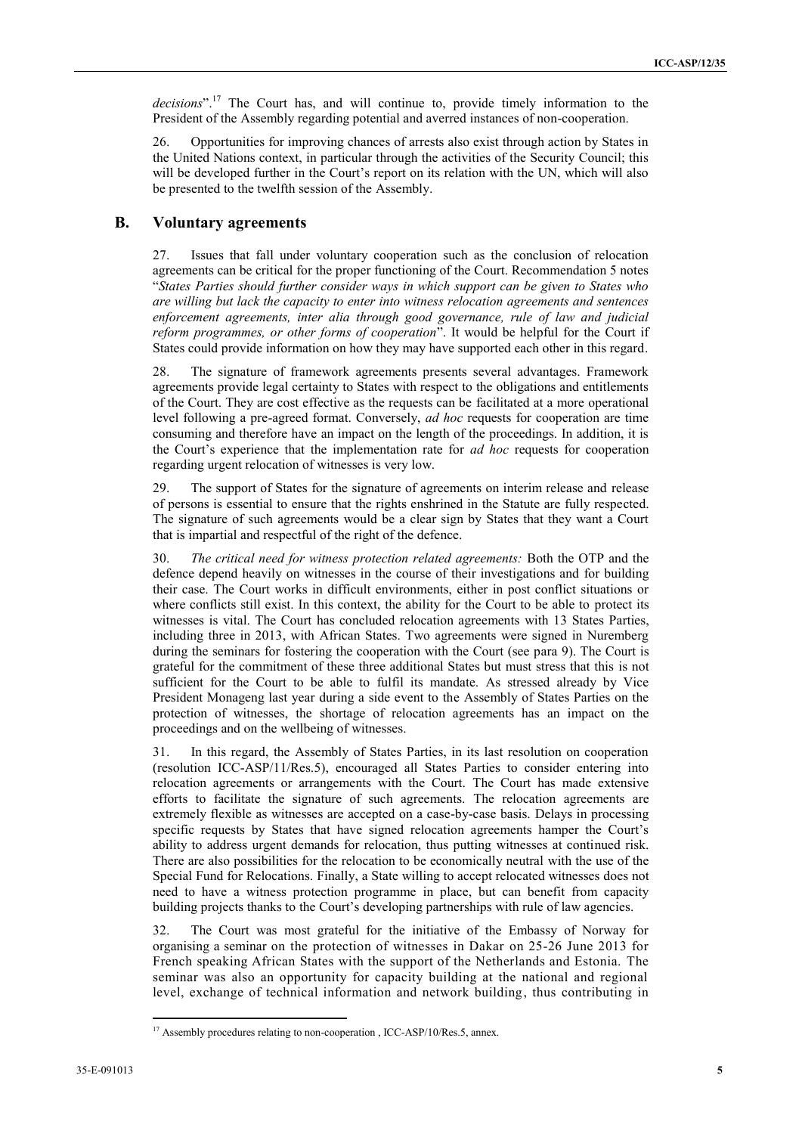*decisions*". <sup>17</sup> The Court has, and will continue to, provide timely information to the President of the Assembly regarding potential and averred instances of non-cooperation.

26. Opportunities for improving chances of arrests also exist through action by States in the United Nations context, in particular through the activities of the Security Council; this will be developed further in the Court's report on its relation with the UN, which will also be presented to the twelfth session of the Assembly.

#### **B. Voluntary agreements**

27. Issues that fall under voluntary cooperation such as the conclusion of relocation agreements can be critical for the proper functioning of the Court. Recommendation 5 notes "*States Parties should further consider ways in which support can be given to States who are willing but lack the capacity to enter into witness relocation agreements and sentences enforcement agreements, inter alia through good governance, rule of law and judicial reform programmes, or other forms of cooperation*". It would be helpful for the Court if States could provide information on how they may have supported each other in this regard.

28. The signature of framework agreements presents several advantages. Framework agreements provide legal certainty to States with respect to the obligations and entitlements of the Court. They are cost effective as the requests can be facilitated at a more operational level following a pre-agreed format. Conversely, *ad hoc* requests for cooperation are time consuming and therefore have an impact on the length of the proceedings. In addition, it is the Court's experience that the implementation rate for *ad hoc* requests for cooperation regarding urgent relocation of witnesses is very low.

29. The support of States for the signature of agreements on interim release and release of persons is essential to ensure that the rights enshrined in the Statute are fully respected. The signature of such agreements would be a clear sign by States that they want a Court that is impartial and respectful of the right of the defence.

30. *The critical need for witness protection related agreements:* Both the OTP and the defence depend heavily on witnesses in the course of their investigations and for building their case. The Court works in difficult environments, either in post conflict situations or where conflicts still exist. In this context, the ability for the Court to be able to protect its witnesses is vital. The Court has concluded relocation agreements with 13 States Parties, including three in 2013, with African States. Two agreements were signed in Nuremberg during the seminars for fostering the cooperation with the Court (see para 9). The Court is grateful for the commitment of these three additional States but must stress that this is not sufficient for the Court to be able to fulfil its mandate. As stressed already by Vice President Monageng last year during a side event to the Assembly of States Parties on the protection of witnesses, the shortage of relocation agreements has an impact on the proceedings and on the wellbeing of witnesses.

31. In this regard, the Assembly of States Parties, in its last resolution on cooperation (resolution ICC-ASP/11/Res.5), encouraged all States Parties to consider entering into relocation agreements or arrangements with the Court. The Court has made extensive efforts to facilitate the signature of such agreements. The relocation agreements are extremely flexible as witnesses are accepted on a case-by-case basis. Delays in processing specific requests by States that have signed relocation agreements hamper the Court's ability to address urgent demands for relocation, thus putting witnesses at continued risk. There are also possibilities for the relocation to be economically neutral with the use of the Special Fund for Relocations. Finally, a State willing to accept relocated witnesses does not need to have a witness protection programme in place, but can benefit from capacity building projects thanks to the Court's developing partnerships with rule of law agencies.

32. The Court was most grateful for the initiative of the Embassy of Norway for organising a seminar on the protection of witnesses in Dakar on 25-26 June 2013 for French speaking African States with the support of the Netherlands and Estonia. The seminar was also an opportunity for capacity building at the national and regional level, exchange of technical information and network building, thus contributing in

<sup>&</sup>lt;sup>17</sup> Assembly procedures relating to non-cooperation, ICC-ASP/10/Res.5, annex.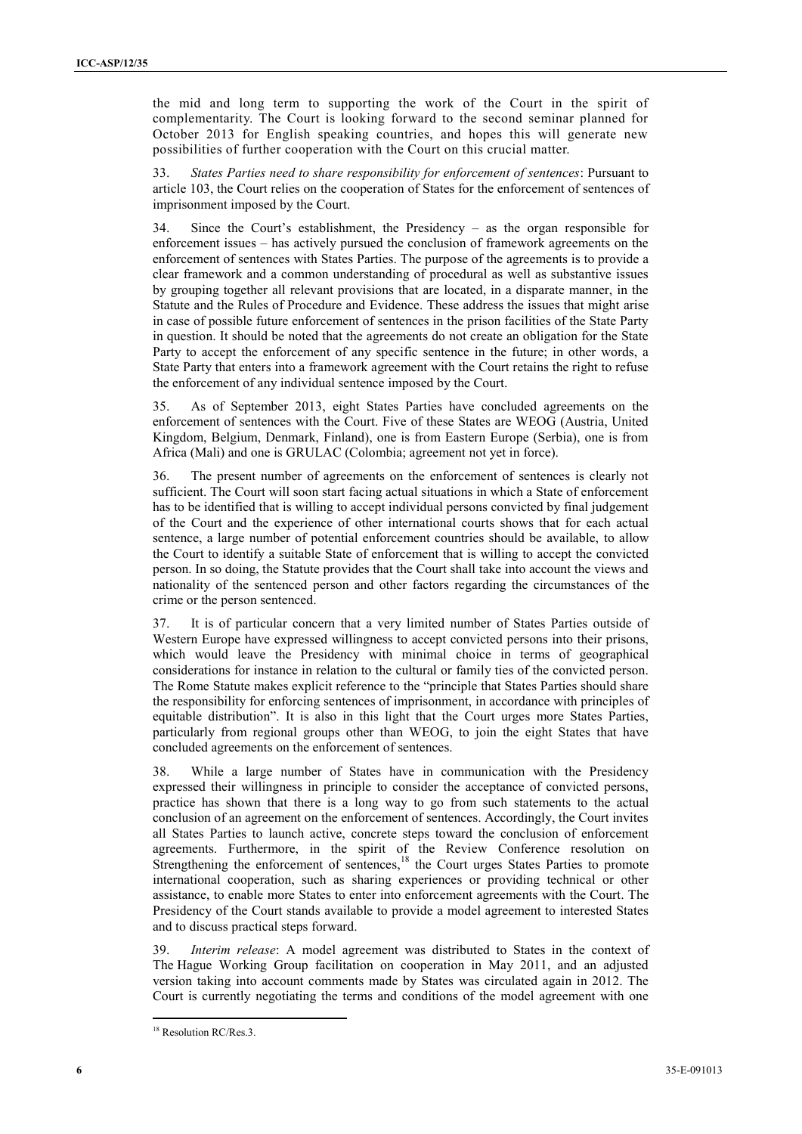the mid and long term to supporting the work of the Court in the spirit of complementarity. The Court is looking forward to the second seminar planned for October 2013 for English speaking countries, and hopes this will generate new possibilities of further cooperation with the Court on this crucial matter.

33. *States Parties need to share responsibility for enforcement of sentences*: Pursuant to article 103, the Court relies on the cooperation of States for the enforcement of sentences of imprisonment imposed by the Court.

34. Since the Court's establishment, the Presidency – as the organ responsible for enforcement issues – has actively pursued the conclusion of framework agreements on the enforcement of sentences with States Parties. The purpose of the agreements is to provide a clear framework and a common understanding of procedural as well as substantive issues by grouping together all relevant provisions that are located, in a disparate manner, in the Statute and the Rules of Procedure and Evidence. These address the issues that might arise in case of possible future enforcement of sentences in the prison facilities of the State Party in question. It should be noted that the agreements do not create an obligation for the State Party to accept the enforcement of any specific sentence in the future; in other words, a State Party that enters into a framework agreement with the Court retains the right to refuse the enforcement of any individual sentence imposed by the Court.

35. As of September 2013, eight States Parties have concluded agreements on the enforcement of sentences with the Court. Five of these States are WEOG (Austria, United Kingdom, Belgium, Denmark, Finland), one is from Eastern Europe (Serbia), one is from Africa (Mali) and one is GRULAC (Colombia; agreement not yet in force).

The present number of agreements on the enforcement of sentences is clearly not sufficient. The Court will soon start facing actual situations in which a State of enforcement has to be identified that is willing to accept individual persons convicted by final judgement of the Court and the experience of other international courts shows that for each actual sentence, a large number of potential enforcement countries should be available, to allow the Court to identify a suitable State of enforcement that is willing to accept the convicted person. In so doing, the Statute provides that the Court shall take into account the views and nationality of the sentenced person and other factors regarding the circumstances of the crime or the person sentenced.

It is of particular concern that a very limited number of States Parties outside of Western Europe have expressed willingness to accept convicted persons into their prisons, which would leave the Presidency with minimal choice in terms of geographical considerations for instance in relation to the cultural or family ties of the convicted person. The Rome Statute makes explicit reference to the "principle that States Parties should share the responsibility for enforcing sentences of imprisonment, in accordance with principles of equitable distribution". It is also in this light that the Court urges more States Parties, particularly from regional groups other than WEOG, to join the eight States that have concluded agreements on the enforcement of sentences.

While a large number of States have in communication with the Presidency expressed their willingness in principle to consider the acceptance of convicted persons, practice has shown that there is a long way to go from such statements to the actual conclusion of an agreement on the enforcement of sentences. Accordingly, the Court invites all States Parties to launch active, concrete steps toward the conclusion of enforcement agreements. Furthermore, in the spirit of the Review Conference resolution on Strengthening the enforcement of sentences,<sup>18</sup> the Court urges States Parties to promote international cooperation, such as sharing experiences or providing technical or other assistance, to enable more States to enter into enforcement agreements with the Court. The Presidency of the Court stands available to provide a model agreement to interested States and to discuss practical steps forward.

39. *Interim release*: A model agreement was distributed to States in the context of The Hague Working Group facilitation on cooperation in May 2011, and an adjusted version taking into account comments made by States was circulated again in 2012. The Court is currently negotiating the terms and conditions of the model agreement with one

<sup>&</sup>lt;sup>18</sup> Resolution RC/Res.3.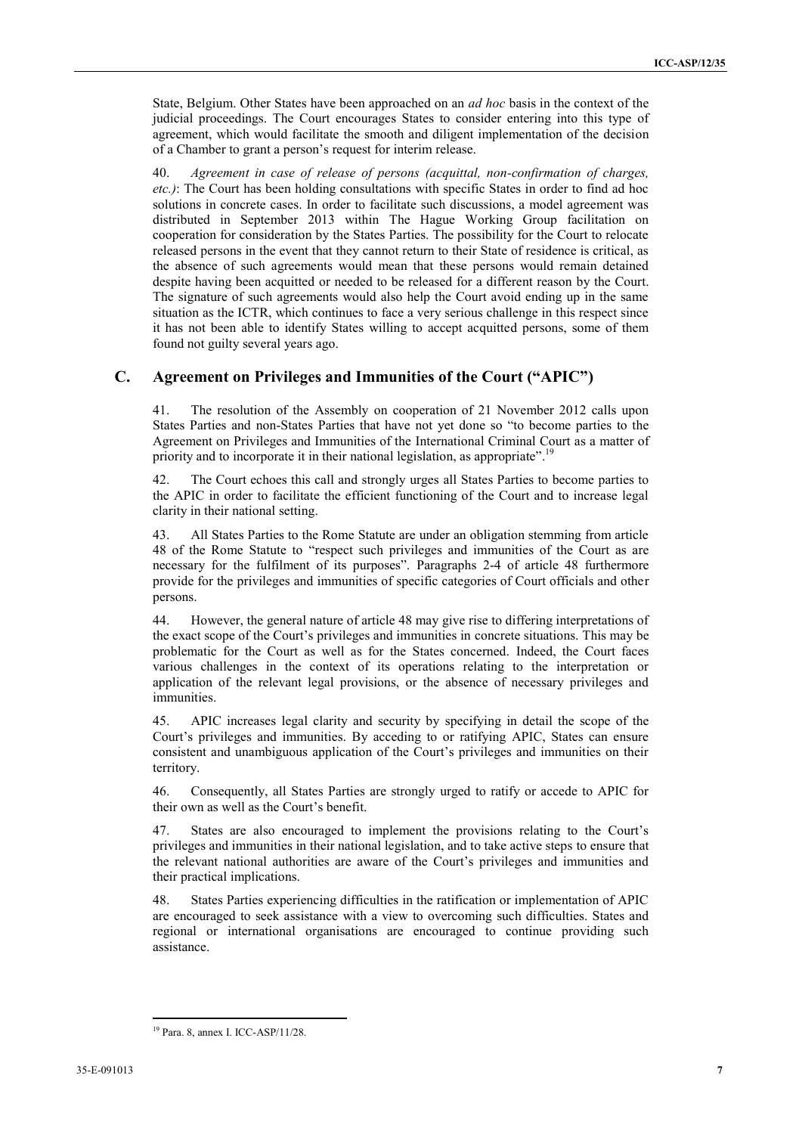State, Belgium. Other States have been approached on an *ad hoc* basis in the context of the judicial proceedings. The Court encourages States to consider entering into this type of agreement, which would facilitate the smooth and diligent implementation of the decision of a Chamber to grant a person's request for interim release.

40. *Agreement in case of release of persons (acquittal, non-confirmation of charges, etc.)*: The Court has been holding consultations with specific States in order to find ad hoc solutions in concrete cases. In order to facilitate such discussions, a model agreement was distributed in September 2013 within The Hague Working Group facilitation on cooperation for consideration by the States Parties. The possibility for the Court to relocate released persons in the event that they cannot return to their State of residence is critical, as the absence of such agreements would mean that these persons would remain detained despite having been acquitted or needed to be released for a different reason by the Court. The signature of such agreements would also help the Court avoid ending up in the same situation as the ICTR, which continues to face a very serious challenge in this respect since it has not been able to identify States willing to accept acquitted persons, some of them found not guilty several years ago.

### **C. Agreement on Privileges and Immunities of the Court ("APIC")**

41. The resolution of the Assembly on cooperation of 21 November 2012 calls upon States Parties and non-States Parties that have not yet done so "to become parties to the Agreement on Privileges and Immunities of the International Criminal Court as a matter of priority and to incorporate it in their national legislation, as appropriate".<sup>19</sup>

42. The Court echoes this call and strongly urges all States Parties to become parties to the APIC in order to facilitate the efficient functioning of the Court and to increase legal clarity in their national setting.

43. All States Parties to the Rome Statute are under an obligation stemming from article 48 of the Rome Statute to "respect such privileges and immunities of the Court as are necessary for the fulfilment of its purposes". Paragraphs 2-4 of article 48 furthermore provide for the privileges and immunities of specific categories of Court officials and other persons.

44. However, the general nature of article 48 may give rise to differing interpretations of the exact scope of the Court's privileges and immunities in concrete situations. This may be problematic for the Court as well as for the States concerned. Indeed, the Court faces various challenges in the context of its operations relating to the interpretation or application of the relevant legal provisions, or the absence of necessary privileges and immunities.

45. APIC increases legal clarity and security by specifying in detail the scope of the Court's privileges and immunities. By acceding to or ratifying APIC, States can ensure consistent and unambiguous application of the Court's privileges and immunities on their territory.

46. Consequently, all States Parties are strongly urged to ratify or accede to APIC for their own as well as the Court's benefit.

47. States are also encouraged to implement the provisions relating to the Court's privileges and immunities in their national legislation, and to take active steps to ensure that the relevant national authorities are aware of the Court's privileges and immunities and their practical implications.

48. States Parties experiencing difficulties in the ratification or implementation of APIC are encouraged to seek assistance with a view to overcoming such difficulties. States and regional or international organisations are encouraged to continue providing such assistance.

 $\overline{a}$ <sup>19</sup> Para. 8, annex I. ICC-ASP/11/28.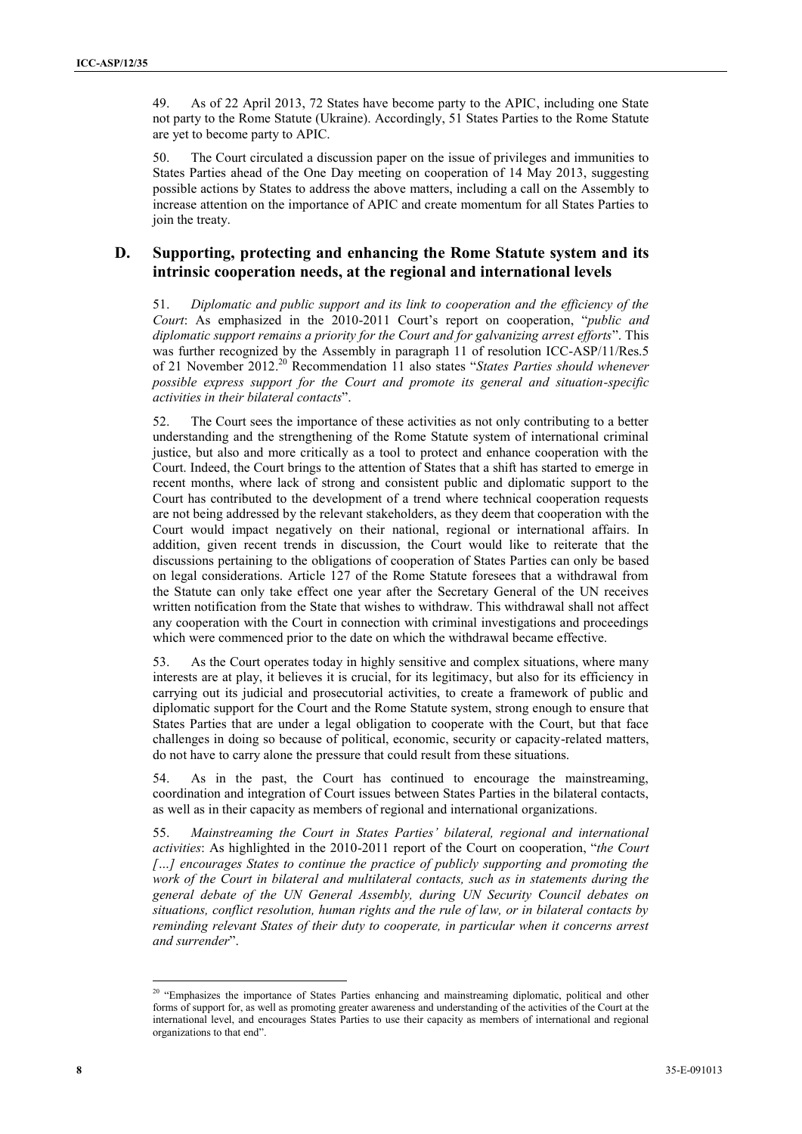49. As of 22 April 2013, 72 States have become party to the APIC, including one State not party to the Rome Statute (Ukraine). Accordingly, 51 States Parties to the Rome Statute are yet to become party to APIC.

50. The Court circulated a discussion paper on the issue of privileges and immunities to States Parties ahead of the One Day meeting on cooperation of 14 May 2013, suggesting possible actions by States to address the above matters, including a call on the Assembly to increase attention on the importance of APIC and create momentum for all States Parties to join the treaty.

#### **D. Supporting, protecting and enhancing the Rome Statute system and its intrinsic cooperation needs, at the regional and international levels**

51. *Diplomatic and public support and its link to cooperation and the efficiency of the Court*: As emphasized in the 2010-2011 Court's report on cooperation, "*public and diplomatic support remains a priority for the Court and for galvanizing arrest efforts*". This was further recognized by the Assembly in paragraph 11 of resolution ICC-ASP/11/Res.5 of 21 November 2012. <sup>20</sup> Recommendation 11 also states "*States Parties should whenever possible express support for the Court and promote its general and situation-specific activities in their bilateral contacts*".

52. The Court sees the importance of these activities as not only contributing to a better understanding and the strengthening of the Rome Statute system of international criminal justice, but also and more critically as a tool to protect and enhance cooperation with the Court. Indeed, the Court brings to the attention of States that a shift has started to emerge in recent months, where lack of strong and consistent public and diplomatic support to the Court has contributed to the development of a trend where technical cooperation requests are not being addressed by the relevant stakeholders, as they deem that cooperation with the Court would impact negatively on their national, regional or international affairs. In addition, given recent trends in discussion, the Court would like to reiterate that the discussions pertaining to the obligations of cooperation of States Parties can only be based on legal considerations. Article 127 of the Rome Statute foresees that a withdrawal from the Statute can only take effect one year after the Secretary General of the UN receives written notification from the State that wishes to withdraw. This withdrawal shall not affect any cooperation with the Court in connection with criminal investigations and proceedings which were commenced prior to the date on which the withdrawal became effective.

53. As the Court operates today in highly sensitive and complex situations, where many interests are at play, it believes it is crucial, for its legitimacy, but also for its efficiency in carrying out its judicial and prosecutorial activities, to create a framework of public and diplomatic support for the Court and the Rome Statute system, strong enough to ensure that States Parties that are under a legal obligation to cooperate with the Court, but that face challenges in doing so because of political, economic, security or capacity-related matters, do not have to carry alone the pressure that could result from these situations.

54. As in the past, the Court has continued to encourage the mainstreaming, coordination and integration of Court issues between States Parties in the bilateral contacts, as well as in their capacity as members of regional and international organizations.

55. *Mainstreaming the Court in States Parties' bilateral, regional and international activities*: As highlighted in the 2010-2011 report of the Court on cooperation, "*the Court […] encourages States to continue the practice of publicly supporting and promoting the work of the Court in bilateral and multilateral contacts, such as in statements during the general debate of the UN General Assembly, during UN Security Council debates on situations, conflict resolution, human rights and the rule of law, or in bilateral contacts by reminding relevant States of their duty to cooperate, in particular when it concerns arrest and surrender*".

<sup>&</sup>lt;sup>20</sup> "Emphasizes the importance of States Parties enhancing and mainstreaming diplomatic, political and other forms of support for, as well as promoting greater awareness and understanding of the activities of the Court at the international level, and encourages States Parties to use their capacity as members of international and regional organizations to that end".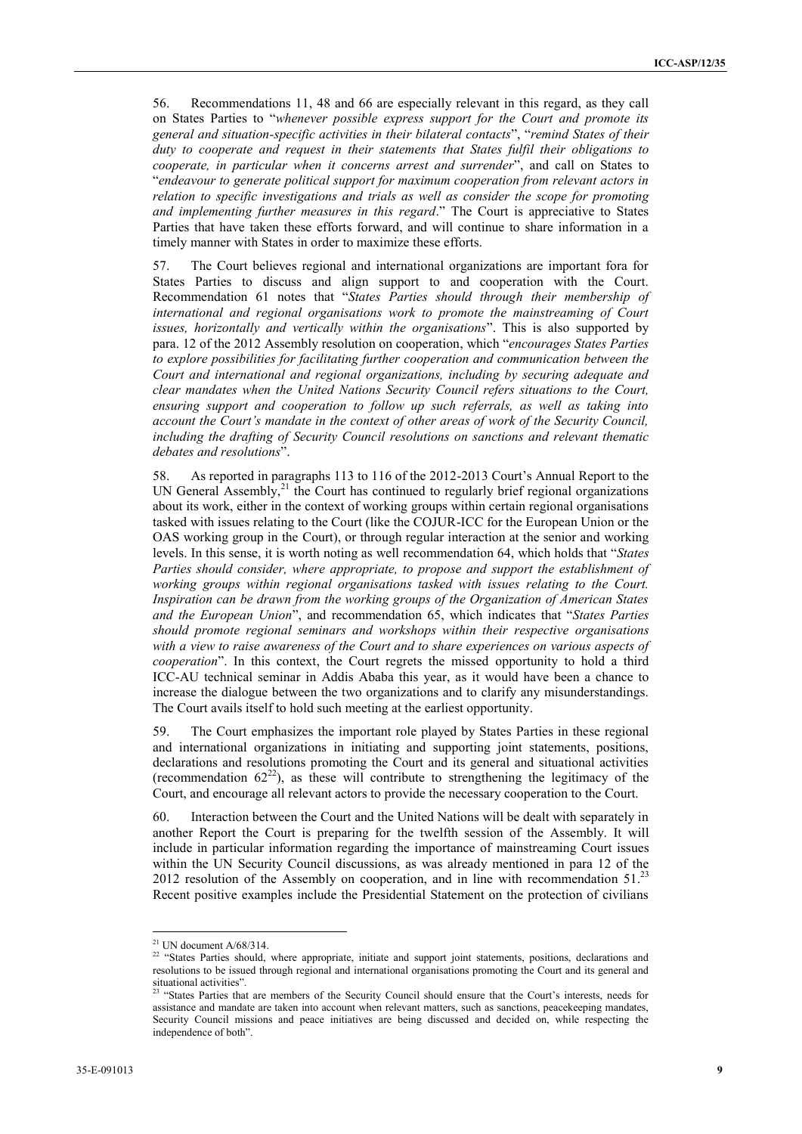56. Recommendations 11, 48 and 66 are especially relevant in this regard, as they call on States Parties to "*whenever possible express support for the Court and promote its general and situation-specific activities in their bilateral contacts*", "*remind States of their duty to cooperate and request in their statements that States fulfil their obligations to cooperate, in particular when it concerns arrest and surrender*", and call on States to "*endeavour to generate political support for maximum cooperation from relevant actors in relation to specific investigations and trials as well as consider the scope for promoting and implementing further measures in this regard*." The Court is appreciative to States Parties that have taken these efforts forward, and will continue to share information in a timely manner with States in order to maximize these efforts.

57. The Court believes regional and international organizations are important fora for States Parties to discuss and align support to and cooperation with the Court. Recommendation 61 notes that "*States Parties should through their membership of international and regional organisations work to promote the mainstreaming of Court issues, horizontally and vertically within the organisations*". This is also supported by para. 12 of the 2012 Assembly resolution on cooperation, which "*encourages States Parties to explore possibilities for facilitating further cooperation and communication between the Court and international and regional organizations, including by securing adequate and clear mandates when the United Nations Security Council refers situations to the Court,*  ensuring support and cooperation to follow up such referrals, as well as taking into *account the Court's mandate in the context of other areas of work of the Security Council, including the drafting of Security Council resolutions on sanctions and relevant thematic debates and resolutions*".

58. As reported in paragraphs 113 to 116 of the 2012-2013 Court's Annual Report to the UN General Assembly,<sup>21</sup> the Court has continued to regularly brief regional organizations about its work, either in the context of working groups within certain regional organisations tasked with issues relating to the Court (like the COJUR-ICC for the European Union or the OAS working group in the Court), or through regular interaction at the senior and working levels. In this sense, it is worth noting as well recommendation 64, which holds that "*States Parties should consider, where appropriate, to propose and support the establishment of working groups within regional organisations tasked with issues relating to the Court. Inspiration can be drawn from the working groups of the Organization of American States and the European Union*", and recommendation 65, which indicates that "*States Parties should promote regional seminars and workshops within their respective organisations with a view to raise awareness of the Court and to share experiences on various aspects of cooperation*". In this context, the Court regrets the missed opportunity to hold a third ICC-AU technical seminar in Addis Ababa this year, as it would have been a chance to increase the dialogue between the two organizations and to clarify any misunderstandings. The Court avails itself to hold such meeting at the earliest opportunity.

59. The Court emphasizes the important role played by States Parties in these regional and international organizations in initiating and supporting joint statements, positions, declarations and resolutions promoting the Court and its general and situational activities (recommendation  $62^{22}$ ), as these will contribute to strengthening the legitimacy of the Court, and encourage all relevant actors to provide the necessary cooperation to the Court.

60. Interaction between the Court and the United Nations will be dealt with separately in another Report the Court is preparing for the twelfth session of the Assembly. It will include in particular information regarding the importance of mainstreaming Court issues within the UN Security Council discussions, as was already mentioned in para 12 of the 2012 resolution of the Assembly on cooperation, and in line with recommendation  $51<sup>23</sup>$ Recent positive examples include the Presidential Statement on the protection of civilians

 $21$  UN document A/68/314.

<sup>&</sup>lt;sup>22</sup> "States Parties should, where appropriate, initiate and support joint statements, positions, declarations and resolutions to be issued through regional and international organisations promoting the Court and its general and situational activities".

<sup>&</sup>lt;sup>23</sup> "States Parties that are members of the Security Council should ensure that the Court's interests, needs for assistance and mandate are taken into account when relevant matters, such as sanctions, peacekeeping mandates, Security Council missions and peace initiatives are being discussed and decided on, while respecting the independence of both".